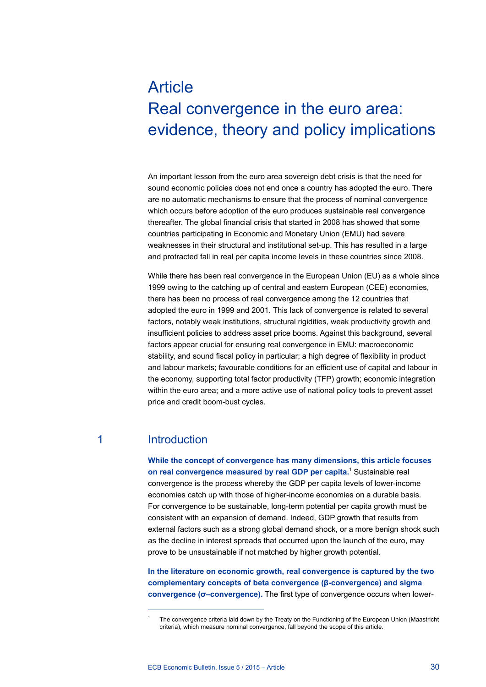# **Article** Real convergence in the euro area: evidence, theory and policy implications

An important lesson from the euro area sovereign debt crisis is that the need for sound economic policies does not end once a country has adopted the euro. There are no automatic mechanisms to ensure that the process of nominal convergence which occurs before adoption of the euro produces sustainable real convergence thereafter. The global financial crisis that started in 2008 has showed that some countries participating in Economic and Monetary Union (EMU) had severe weaknesses in their structural and institutional set-up. This has resulted in a large and protracted fall in real per capita income levels in these countries since 2008.

While there has been real convergence in the European Union (EU) as a whole since 1999 owing to the catching up of central and eastern European (CEE) economies, there has been no process of real convergence among the 12 countries that adopted the euro in 1999 and 2001. This lack of convergence is related to several factors, notably weak institutions, structural rigidities, weak productivity growth and insufficient policies to address asset price booms. Against this background, several factors appear crucial for ensuring real convergence in EMU: macroeconomic stability, and sound fiscal policy in particular; a high degree of flexibility in product and labour markets; favourable conditions for an efficient use of capital and labour in the economy, supporting total factor productivity (TFP) growth; economic integration within the euro area; and a more active use of national policy tools to prevent asset price and credit boom-bust cycles*.*

# 1 Introduction

**While the concept of convergence has many dimensions, this article focuses**  on real convergence measured by real GDP per capita.<sup>1</sup> Sustainable real convergence is the process whereby the GDP per capita levels of lower-income economies catch up with those of higher-income economies on a durable basis. For convergence to be sustainable, long-term potential per capita growth must be consistent with an expansion of demand. Indeed, GDP growth that results from external factors such as a strong global demand shock, or a more benign shock such as the decline in interest spreads that occurred upon the launch of the euro, may prove to be unsustainable if not matched by higher growth potential.

**In the literature on economic growth, real convergence is captured by the two complementary concepts of beta convergence (β-convergence) and sigma convergence (σ–convergence).** The first type of convergence occurs when lower-

<sup>1</sup> The convergence criteria laid down by the Treaty on the Functioning of the European Union (Maastricht criteria), which measure nominal convergence, fall beyond the scope of this article.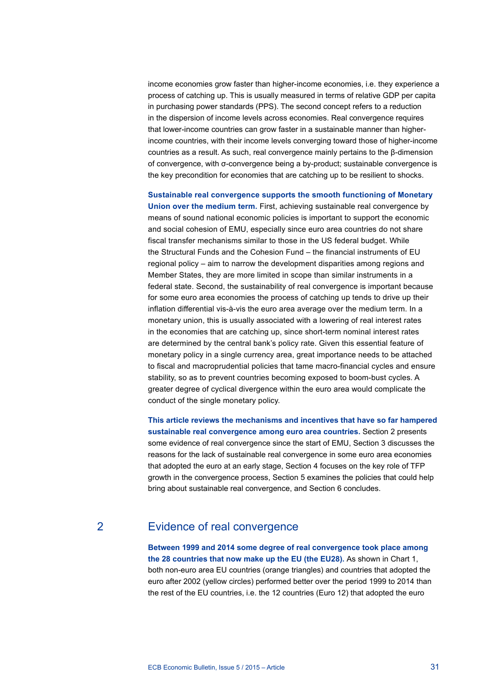income economies grow faster than higher-income economies, i.e. they experience a process of catching up. This is usually measured in terms of relative GDP per capita in purchasing power standards (PPS). The second concept refers to a reduction in the dispersion of income levels across economies. Real convergence requires that lower-income countries can grow faster in a sustainable manner than higherincome countries, with their income levels converging toward those of higher-income countries as a result. As such, real convergence mainly pertains to the β-dimension of convergence, with σ-convergence being a by-product; sustainable convergence is the key precondition for economies that are catching up to be resilient to shocks.

**Sustainable real convergence supports the smooth functioning of Monetary Union over the medium term.** First, achieving sustainable real convergence by means of sound national economic policies is important to support the economic and social cohesion of EMU, especially since euro area countries do not share fiscal transfer mechanisms similar to those in the US federal budget. While the Structural Funds and the Cohesion Fund – the financial instruments of EU regional policy – aim to narrow the development disparities among regions and Member States, they are more limited in scope than similar instruments in a federal state. Second, the sustainability of real convergence is important because for some euro area economies the process of catching up tends to drive up their inflation differential vis-à-vis the euro area average over the medium term. In a monetary union, this is usually associated with a lowering of real interest rates in the economies that are catching up, since short-term nominal interest rates are determined by the central bank's policy rate. Given this essential feature of monetary policy in a single currency area, great importance needs to be attached to fiscal and macroprudential policies that tame macro-financial cycles and ensure stability, so as to prevent countries becoming exposed to boom-bust cycles. A greater degree of cyclical divergence within the euro area would complicate the conduct of the single monetary policy.

**This article reviews the mechanisms and incentives that have so far hampered sustainable real convergence among euro area countries.** Section 2 presents some evidence of real convergence since the start of EMU, Section 3 discusses the reasons for the lack of sustainable real convergence in some euro area economies that adopted the euro at an early stage, Section 4 focuses on the key role of TFP growth in the convergence process, Section 5 examines the policies that could help bring about sustainable real convergence, and Section 6 concludes.

# 2 Evidence of real convergence

**Between 1999 and 2014 some degree of real convergence took place among the 28 countries that now make up the EU (the EU28).** As shown in Chart 1, both non-euro area EU countries (orange triangles) and countries that adopted the euro after 2002 (yellow circles) performed better over the period 1999 to 2014 than the rest of the EU countries, i.e. the 12 countries (Euro 12) that adopted the euro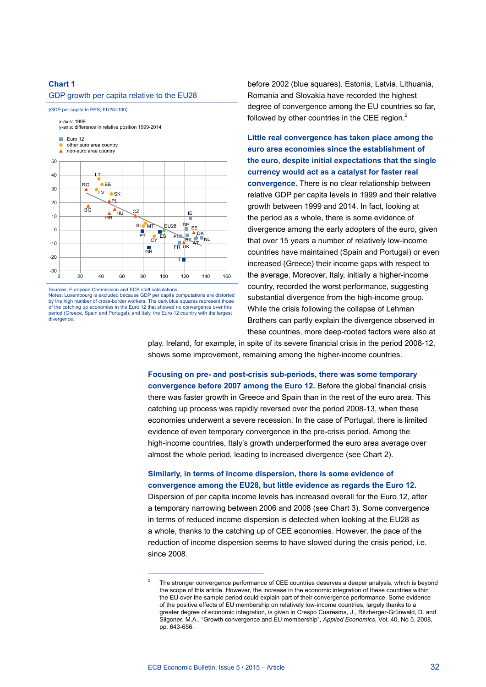#### GDP growth per capita relative to the EU28

(GDP per capita in PPS; EU28=100) x-axis: 1999 y-axis: difference in relative position 1999-2014



Sources: European Commission and ECB staff calculations.

Notes: Luxembourg is excluded because GDP per capita computations are distorted by the high number of cross-border workers. The dark blue squares represent those of the catching up economies in the Euro 12 that showed no convergence over this period (Greece, Spain and Portugal), and Italy, the Euro 12 country with the largest divergence.

before 2002 (blue squares). Estonia, Latvia, Lithuania, Romania and Slovakia have recorded the highest degree of convergence among the EU countries so far, followed by other countries in the CEE region. $<sup>2</sup>$ </sup>

**Little real convergence has taken place among the euro area economies since the establishment of the euro, despite initial expectations that the single currency would act as a catalyst for faster real convergence.** There is no clear relationship between relative GDP per capita levels in 1999 and their relative growth between 1999 and 2014. In fact, looking at the period as a whole, there is some evidence of divergence among the early adopters of the euro, given that over 15 years a number of relatively low-income countries have maintained (Spain and Portugal) or even increased (Greece) their income gaps with respect to the average. Moreover, Italy, initially a higher-income country, recorded the worst performance, suggesting substantial divergence from the high-income group. While the crisis following the collapse of Lehman Brothers can partly explain the divergence observed in these countries, more deep-rooted factors were also at

play. Ireland, for example, in spite of its severe financial crisis in the period 2008-12, shows some improvement, remaining among the higher-income countries.

**Focusing on pre- and post-crisis sub-periods, there was some temporary convergence before 2007 among the Euro 12.** Before the global financial crisis there was faster growth in Greece and Spain than in the rest of the euro area. This catching up process was rapidly reversed over the period 2008-13, when these economies underwent a severe recession. In the case of Portugal, there is limited evidence of even temporary convergence in the pre-crisis period. Among the high-income countries, Italy's growth underperformed the euro area average over almost the whole period, leading to increased divergence (see Chart 2).

# **Similarly, in terms of income dispersion, there is some evidence of convergence among the EU28, but little evidence as regards the Euro 12.**

Dispersion of per capita income levels has increased overall for the Euro 12, after a temporary narrowing between 2006 and 2008 (see Chart 3). Some convergence in terms of reduced income dispersion is detected when looking at the EU28 as a whole, thanks to the catching up of CEE economies. However, the pace of the reduction of income dispersion seems to have slowed during the crisis period, i.e. since 2008.

<sup>2</sup> The stronger convergence performance of CEE countries deserves a deeper analysis, which is beyond the scope of this article. However, the increase in the economic integration of these countries within the EU over the sample period could explain part of their convergence performance. Some evidence of the positive effects of EU membership on relatively low-income countries, largely thanks to a greater degree of economic integration, is given in Crespo Cuaresma, J., Ritzberger-Grünwald, D. and Silgoner, M.A., "Growth convergence and EU membership", *Applied Economics*, Vol. 40, No 5, 2008, pp. 643-656.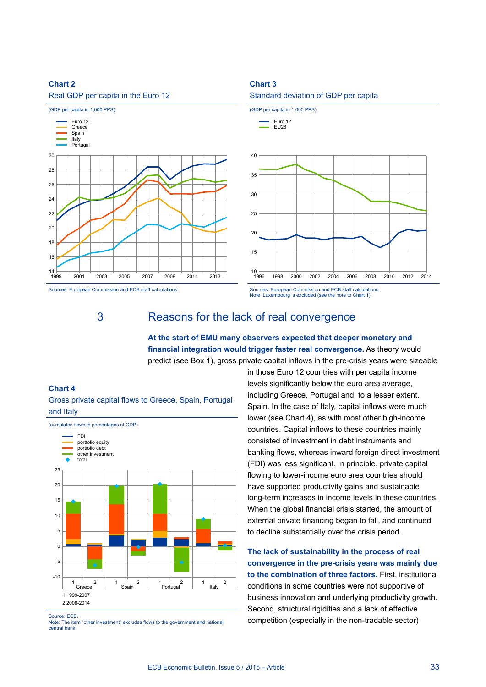

Sources: European Commission and ECB staff calculations.

# **Chart 3**



Note: Luxembourg is excluded (see the note to Chart 1).

# 3 Reasons for the lack of real convergence

**At the start of EMU many observers expected that deeper monetary and financial integration would trigger faster real convergence.** As theory would predict (see Box 1), gross private capital inflows in the pre-crisis years were sizeable

#### **Chart 4**





Source: ECB.

Note: The item "other investment" excludes flows to the government and national central bank.

in those Euro 12 countries with per capita income levels significantly below the euro area average, including Greece, Portugal and, to a lesser extent, Spain. In the case of Italy, capital inflows were much lower (see Chart 4), as with most other high-income countries. Capital inflows to these countries mainly consisted of investment in debt instruments and banking flows, whereas inward foreign direct investment (FDI) was less significant. In principle, private capital flowing to lower-income euro area countries should have supported productivity gains and sustainable long-term increases in income levels in these countries. When the global financial crisis started, the amount of external private financing began to fall, and continued to decline substantially over the crisis period.

**The lack of sustainability in the process of real convergence in the pre-crisis years was mainly due to the combination of three factors.** First, institutional conditions in some countries were not supportive of business innovation and underlying productivity growth. Second, structural rigidities and a lack of effective competition (especially in the non-tradable sector)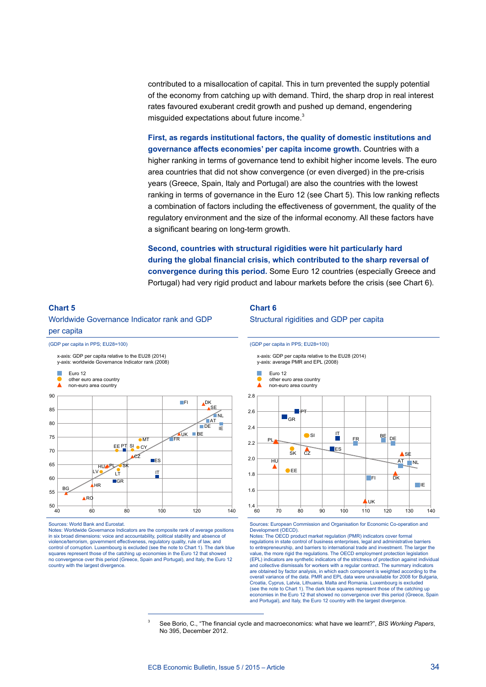contributed to a misallocation of capital. This in turn prevented the supply potential of the economy from catching up with demand. Third, the sharp drop in real interest rates favoured exuberant credit growth and pushed up demand, engendering misguided expectations about future income.<sup>3</sup>

**First, as regards institutional factors, the quality of domestic institutions and governance affects economies' per capita income growth.** Countries with a higher ranking in terms of governance tend to exhibit higher income levels. The euro area countries that did not show convergence (or even diverged) in the pre-crisis years (Greece, Spain, Italy and Portugal) are also the countries with the lowest ranking in terms of governance in the Euro 12 (see Chart 5). This low ranking reflects a combination of factors including the effectiveness of government, the quality of the regulatory environment and the size of the informal economy. All these factors have a significant bearing on long-term growth.

**Second, countries with structural rigidities were hit particularly hard during the global financial crisis, which contributed to the sharp reversal of convergence during this period.** Some Euro 12 countries (especially Greece and Portugal) had very rigid product and labour markets before the crisis (see Chart 6).

# **Chart 5** Worldwide Governance Indicator rank and GDP per capita

(GDP per capita in PPS; EU28=100)

y-axis: worldwide Governance Indicator rank (2008) x-axis: GDP per capita relative to the EU28 (2014)



Sources: World Bank and Eurostat.

Notes: Worldwide Governance Indicators are the composite rank of average positions in six broad dimensions: voice and accountability, political stability and absence of violence/terrorism, government effectiveness, regulatory quality, rule of law, and control of corruption. Luxembourg is excluded (see the note to Chart 1). The dark blue squares represent those of the catching up economies in the Euro 12 that showe no convergence over this period (Greece, Spain and Portugal), and Italy, the Euro 12 country with the largest divergence.

#### **Chart 6**

Structural rigidities and GDP per capita

(GDP per capita in PPS; EU28=100)



Sources: European Commission and Organisation for Economic Co-operation and Development (OECD).

Notes: The OECD product market regulation (PMR) indicators cover formal regulations in state control of business enterprises, legal and administrative barriers to entrepreneurship, and barriers to international trade and investment. The larger the value, the more rigid the regulations. The OECD employment protection legislation (EPL) indicators are synthetic indicators of the strictness of protection against individual and collective dismissals for workers with a regular contract. The summary indicators are obtained by factor analysis, in which each component is weighted according to the overall variance of the data. PMR and EPL data were unavailable for 2008 for Bulgaria, Croatia, Cyprus, Latvia, Lithuania, Malta and Romania. Luxembourg is excluded (see the note to Chart 1). The dark blue squares represent those of the catching up economies in the Euro 12 that showed no convergence over this period (Greece, Spain and Portugal), and Italy, the Euro 12 country with the largest divergence.

<sup>3</sup> See Borio, C., "The financial cycle and macroeconomics: what have we learnt?", *BIS Working Papers*, No 395, December 2012.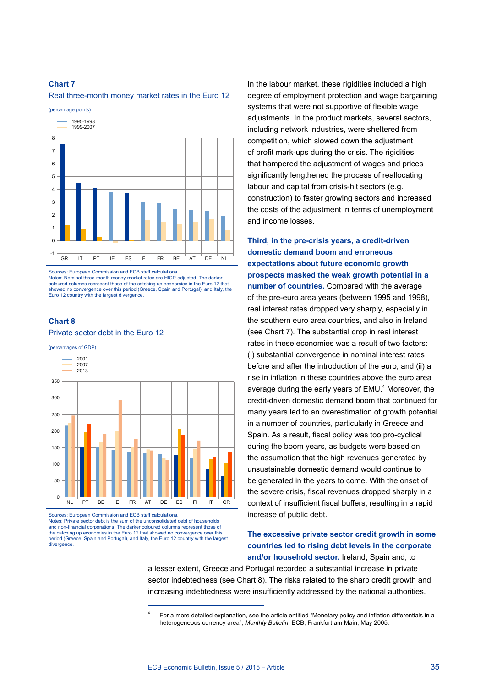Real three-month money market rates in the Euro 12



Sources: European Commission and ECB staff calculations. Notes: Nominal three-month money market rates are HICP-adjusted. The darker coloured columns represent those of the catching up economies in the Euro 12 that showed no convergence over this period (Greece, Spain and Portugal), and Italy, the Euro 12 country with the largest divergence.

#### **Chart 8**

#### Private sector debt in the Euro 12



Sources: European Commission and ECB staff calculations. Notes: Private sector debt is the sum of the unconsolidated debt of households and non-financial corporations. The darker coloured columns represent those of the catching up economies in the Euro 12 that showed no convergence over this period (Greece, Spain and Portugal), and Italy, the Euro 12 country with the largest divergence

In the labour market, these rigidities included a high degree of employment protection and wage bargaining systems that were not supportive of flexible wage adjustments. In the product markets, several sectors, including network industries, were sheltered from competition, which slowed down the adjustment of profit mark-ups during the crisis. The rigidities that hampered the adjustment of wages and prices significantly lengthened the process of reallocating labour and capital from crisis-hit sectors (e.g. construction) to faster growing sectors and increased the costs of the adjustment in terms of unemployment and income losses.

**Third, in the pre-crisis years, a credit-driven domestic demand boom and erroneous expectations about future economic growth prospects masked the weak growth potential in a number of countries.** Compared with the average of the pre-euro area years (between 1995 and 1998), real interest rates dropped very sharply, especially in the southern euro area countries, and also in Ireland (see Chart 7). The substantial drop in real interest rates in these economies was a result of two factors: (i) substantial convergence in nominal interest rates before and after the introduction of the euro, and (ii) a rise in inflation in these countries above the euro area average during the early years of  $EMU<sup>4</sup>$  Moreover, the credit-driven domestic demand boom that continued for many years led to an overestimation of growth potential in a number of countries, particularly in Greece and Spain. As a result, fiscal policy was too pro-cyclical during the boom years, as budgets were based on the assumption that the high revenues generated by unsustainable domestic demand would continue to be generated in the years to come. With the onset of the severe crisis, fiscal revenues dropped sharply in a context of insufficient fiscal buffers, resulting in a rapid increase of public debt.

### **The excessive private sector credit growth in some countries led to rising debt levels in the corporate and/or household sector.** Ireland, Spain and, to

a lesser extent, Greece and Portugal recorded a substantial increase in private sector indebtedness (see Chart 8). The risks related to the sharp credit growth and increasing indebtedness were insufficiently addressed by the national authorities.

<sup>4</sup> For a more detailed explanation, see the article entitled "Monetary policy and inflation differentials in a heterogeneous currency area", *Monthly Bulletin*, ECB, Frankfurt am Main, May 2005.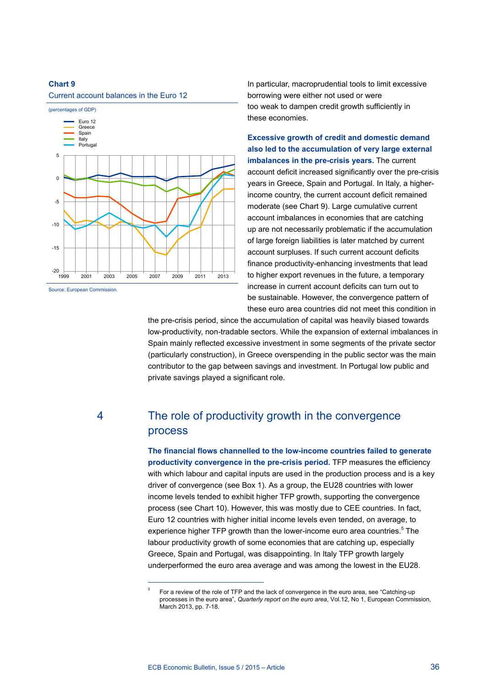#### Current account balances in the Euro 12



Source: European Commission.

In particular, macroprudential tools to limit excessive borrowing were either not used or were too weak to dampen credit growth sufficiently in these economies.

**Excessive growth of credit and domestic demand also led to the accumulation of very large external imbalances in the pre-crisis years.** The current account deficit increased significantly over the pre-crisis years in Greece, Spain and Portugal. In Italy, a higherincome country, the current account deficit remained moderate (see Chart 9). Large cumulative current account imbalances in economies that are catching up are not necessarily problematic if the accumulation of large foreign liabilities is later matched by current account surpluses. If such current account deficits finance productivity-enhancing investments that lead to higher export revenues in the future, a temporary increase in current account deficits can turn out to be sustainable. However, the convergence pattern of these euro area countries did not meet this condition in

the pre-crisis period, since the accumulation of capital was heavily biased towards low-productivity, non-tradable sectors. While the expansion of external imbalances in Spain mainly reflected excessive investment in some segments of the private sector (particularly construction), in Greece overspending in the public sector was the main contributor to the gap between savings and investment. In Portugal low public and private savings played a significant role.

# 4 The role of productivity growth in the convergence process

**The financial flows channelled to the low-income countries failed to generate productivity convergence in the pre-crisis period.** TFP measures the efficiency with which labour and capital inputs are used in the production process and is a key driver of convergence (see Box 1). As a group, the EU28 countries with lower income levels tended to exhibit higher TFP growth, supporting the convergence process (see Chart 10). However, this was mostly due to CEE countries. In fact, Euro 12 countries with higher initial income levels even tended, on average, to experience higher TFP growth than the lower-income euro area countries.<sup>5</sup> The labour productivity growth of some economies that are catching up, especially Greece, Spain and Portugal, was disappointing. In Italy TFP growth largely underperformed the euro area average and was among the lowest in the EU28.

<sup>5</sup> For a review of the role of TFP and the lack of convergence in the euro area, see "Catching-up processes in the euro area", *Quarterly report on the euro area*, Vol.12, No 1, European Commission, March 2013, pp. 7-18.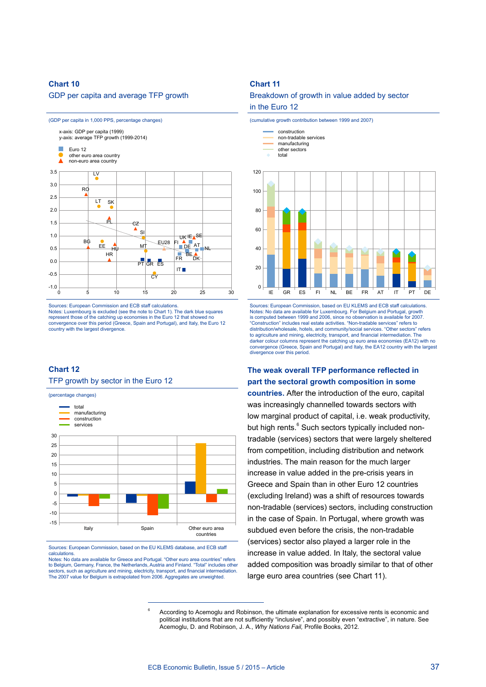#### GDP per capita and average TFP growth



Sources: European Commission and ECB staff calculations. Notes: Luxembourg is excluded (see the note to Chart 1). The dark blue squares represent those of the catching up economies in the Euro 12 that showed no convergence over this period (Greece, Spain and Portugal), and Italy, the Euro 12 country with the largest divergence.

#### **Chart 12**

TFP growth by sector in the Euro 12



Sources: European Commission, based on the EU KLEMS database, and ECB staff calculations.

Notes: No data are available for Greece and Portugal. "Other euro area countries" refers to Belgium, Germany, France, the Netherlands, Austria and Finland. "Total" includes other sectors, such as agriculture and mining, electricity, transport, and financial intermediation. The 2007 value for Belgium is extrapolated from 2006. Aggregates are unweighted.

#### **Chart 11**

Breakdown of growth in value added by sector

#### in the Euro 12





Sources: European Commission, based on EU KLEMS and ECB staff calculations. Notes: No data are available for Luxembourg. For Belgium and Portugal, growth is computed between 1999 and 2006, since no observation is available for 2007. "Construction" includes real estate activities. "Non-tradable services" refers to distribution/wholesale, hotels, and community/social services. "Other sectors" refers to agriculture and mining, electricity, transport, and financial intermediation. The<br>darker colour columns represent the catching up euro area economies (EA12) with no convergence (Greece, Spain and Portugal) and Italy, the EA12 country with the largest divergence over this period.

### **The weak overall TFP performance reflected in part the sectoral growth composition in some**

**countries.** After the introduction of the euro, capital was increasingly channelled towards sectors with low marginal product of capital, i.e. weak productivity, but high rents.<sup>6</sup> Such sectors typically included nontradable (services) sectors that were largely sheltered from competition, including distribution and network industries. The main reason for the much larger increase in value added in the pre-crisis years in Greece and Spain than in other Euro 12 countries (excluding Ireland) was a shift of resources towards non-tradable (services) sectors, including construction in the case of Spain. In Portugal, where growth was subdued even before the crisis, the non-tradable (services) sector also played a larger role in the increase in value added. In Italy, the sectoral value added composition was broadly similar to that of other large euro area countries (see Chart 11).

<sup>6</sup> According to Acemoglu and Robinson, the ultimate explanation for excessive rents is economic and political institutions that are not sufficiently "inclusive", and possibly even "extractive", in nature. See Acemoglu, D. and Robinson, J. A., *Why Nations Fail,* Profile Books, 2012.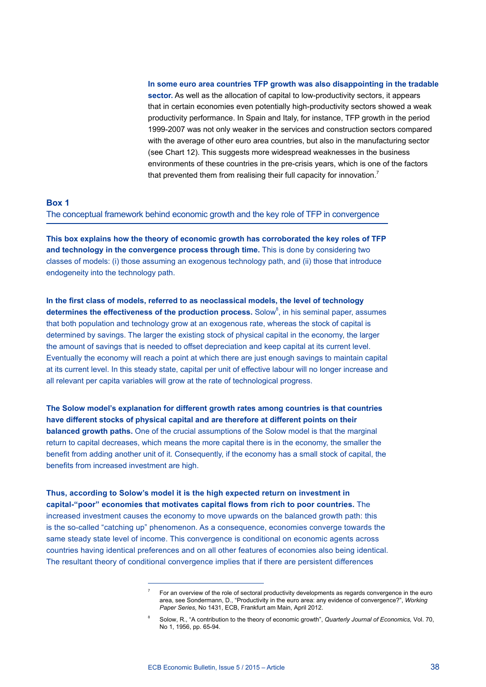**In some euro area countries TFP growth was also disappointing in the tradable sector.** As well as the allocation of capital to low-productivity sectors, it appears that in certain economies even potentially high-productivity sectors showed a weak productivity performance. In Spain and Italy, for instance, TFP growth in the period 1999-2007 was not only weaker in the services and construction sectors compared with the average of other euro area countries, but also in the manufacturing sector (see Chart 12). This suggests more widespread weaknesses in the business environments of these countries in the pre-crisis years, which is one of the factors that prevented them from realising their full capacity for innovation.<sup>7</sup>

#### **Box 1**

The conceptual framework behind economic growth and the key role of TFP in convergence

**This box explains how the theory of economic growth has corroborated the key roles of TFP and technology in the convergence process through time.** This is done by considering two classes of models: (i) those assuming an exogenous technology path, and (ii) those that introduce endogeneity into the technology path.

**In the first class of models, referred to as neoclassical models, the level of technology**  determines the effectiveness of the production process. Solow<sup>8</sup>, in his seminal paper, assumes that both population and technology grow at an exogenous rate, whereas the stock of capital is determined by savings. The larger the existing stock of physical capital in the economy, the larger the amount of savings that is needed to offset depreciation and keep capital at its current level. Eventually the economy will reach a point at which there are just enough savings to maintain capital at its current level. In this steady state, capital per unit of effective labour will no longer increase and all relevant per capita variables will grow at the rate of technological progress.

**The Solow model's explanation for different growth rates among countries is that countries have different stocks of physical capital and are therefore at different points on their balanced growth paths.** One of the crucial assumptions of the Solow model is that the marginal return to capital decreases, which means the more capital there is in the economy, the smaller the benefit from adding another unit of it. Consequently, if the economy has a small stock of capital, the benefits from increased investment are high.

**Thus, according to Solow's model it is the high expected return on investment in capital-"poor" economies that motivates capital flows from rich to poor countries.** The increased investment causes the economy to move upwards on the balanced growth path: this is the so-called "catching up" phenomenon. As a consequence, economies converge towards the same steady state level of income. This convergence is conditional on economic agents across countries having identical preferences and on all other features of economies also being identical. The resultant theory of conditional convergence implies that if there are persistent differences

For an overview of the role of sectoral productivity developments as regards convergence in the euro area, see Sondermann, D., "Productivity in the euro area: any evidence of convergence?", *Working Paper Series*, No 1431, ECB, Frankfurt am Main, April 2012.

<sup>8</sup> Solow, R., "A contribution to the theory of economic growth", *Quarterly Journal of Economics,* Vol. 70, No 1, 1956, pp. 65-94.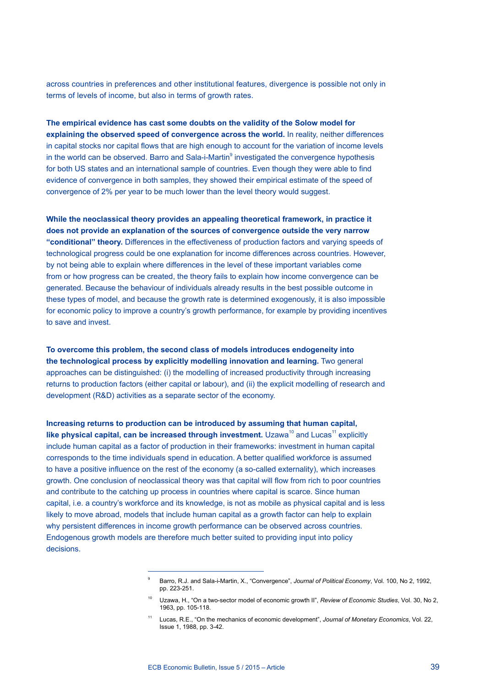across countries in preferences and other institutional features, divergence is possible not only in terms of levels of income, but also in terms of growth rates.

**The empirical evidence has cast some doubts on the validity of the Solow model for explaining the observed speed of convergence across the world.** In reality, neither differences in capital stocks nor capital flows that are high enough to account for the variation of income levels in the world can be observed. Barro and Sala-i-Martin<sup>9</sup> investigated the convergence hypothesis for both US states and an international sample of countries. Even though they were able to find evidence of convergence in both samples, they showed their empirical estimate of the speed of convergence of 2% per year to be much lower than the level theory would suggest.

**While the neoclassical theory provides an appealing theoretical framework, in practice it does not provide an explanation of the sources of convergence outside the very narrow "conditional" theory.** Differences in the effectiveness of production factors and varying speeds of technological progress could be one explanation for income differences across countries. However, by not being able to explain where differences in the level of these important variables come from or how progress can be created, the theory fails to explain how income convergence can be generated. Because the behaviour of individuals already results in the best possible outcome in these types of model, and because the growth rate is determined exogenously, it is also impossible for economic policy to improve a country's growth performance, for example by providing incentives to save and invest.

**To overcome this problem, the second class of models introduces endogeneity into the technological process by explicitly modelling innovation and learning.** Two general approaches can be distinguished: (i) the modelling of increased productivity through increasing returns to production factors (either capital or labour), and (ii) the explicit modelling of research and development (R&D) activities as a separate sector of the economy.

**Increasing returns to production can be introduced by assuming that human capital, like physical capital, can be increased through investment.** Uzawa<sup>10</sup> and Lucas<sup>11</sup> explicitly include human capital as a factor of production in their frameworks: investment in human capital corresponds to the time individuals spend in education. A better qualified workforce is assumed to have a positive influence on the rest of the economy (a so-called externality), which increases growth. One conclusion of neoclassical theory was that capital will flow from rich to poor countries and contribute to the catching up process in countries where capital is scarce. Since human capital, i.e. a country's workforce and its knowledge, is not as mobile as physical capital and is less likely to move abroad, models that include human capital as a growth factor can help to explain why persistent differences in income growth performance can be observed across countries. Endogenous growth models are therefore much better suited to providing input into policy decisions.

<sup>&</sup>lt;sup>9</sup> Barro, R.J. and Sala-i-Martin, X., "Convergence", *Journal of Political Economy*, Vol. 100, No 2, 1992, pp. 223-251.

<sup>10</sup> Uzawa, H., "On a two-sector model of economic growth II", *Review of Economic Studies*, Vol. 30, No 2, 1963, pp. 105-118.

<sup>11</sup> Lucas, R.E., "On the mechanics of economic development", *Journal of Monetary Economics*, Vol. 22, Issue 1, 1988, pp. 3-42.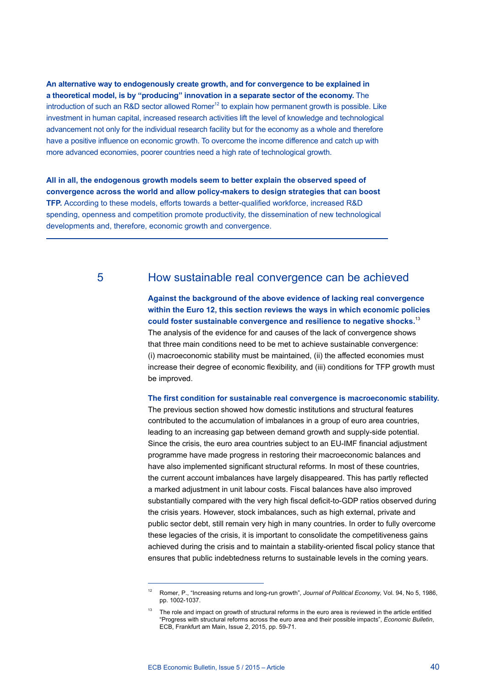**An alternative way to endogenously create growth, and for convergence to be explained in a theoretical model, is by "producing" innovation in a separate sector of the economy.** The introduction of such an R&D sector allowed Romer $12$  to explain how permanent growth is possible. Like investment in human capital, increased research activities lift the level of knowledge and technological advancement not only for the individual research facility but for the economy as a whole and therefore have a positive influence on economic growth. To overcome the income difference and catch up with more advanced economies, poorer countries need a high rate of technological growth.

**All in all, the endogenous growth models seem to better explain the observed speed of convergence across the world and allow policy-makers to design strategies that can boost TFP.** According to these models, efforts towards a better-qualified workforce, increased R&D spending, openness and competition promote productivity, the dissemination of new technological developments and, therefore, economic growth and convergence.

# 5 How sustainable real convergence can be achieved

**Against the background of the above evidence of lacking real convergence within the Euro 12, this section reviews the ways in which economic policies could foster sustainable convergence and resilience to negative shocks.**<sup>13</sup> The analysis of the evidence for and causes of the lack of convergence shows that three main conditions need to be met to achieve sustainable convergence: (i) macroeconomic stability must be maintained, (ii) the affected economies must increase their degree of economic flexibility, and (iii) conditions for TFP growth must be improved.

**The first condition for sustainable real convergence is macroeconomic stability.**  The previous section showed how domestic institutions and structural features contributed to the accumulation of imbalances in a group of euro area countries, leading to an increasing gap between demand growth and supply-side potential. Since the crisis, the euro area countries subject to an EU-IMF financial adjustment programme have made progress in restoring their macroeconomic balances and have also implemented significant structural reforms. In most of these countries, the current account imbalances have largely disappeared. This has partly reflected a marked adjustment in unit labour costs. Fiscal balances have also improved substantially compared with the very high fiscal deficit-to-GDP ratios observed during the crisis years. However, stock imbalances, such as high external, private and public sector debt, still remain very high in many countries. In order to fully overcome these legacies of the crisis, it is important to consolidate the competitiveness gains achieved during the crisis and to maintain a stability-oriented fiscal policy stance that ensures that public indebtedness returns to sustainable levels in the coming years.

<sup>12</sup> Romer, P., "Increasing returns and long-run growth", *Journal of Political Economy,* Vol. 94, No 5, 1986, pp. 1002-1037.

<sup>13</sup> The role and impact on growth of structural reforms in the euro area is reviewed in the article entitled "Progress with structural reforms across the euro area and their possible impacts", *Economic Bulletin*, ECB, Frankfurt am Main, Issue 2, 2015, pp. 59-71.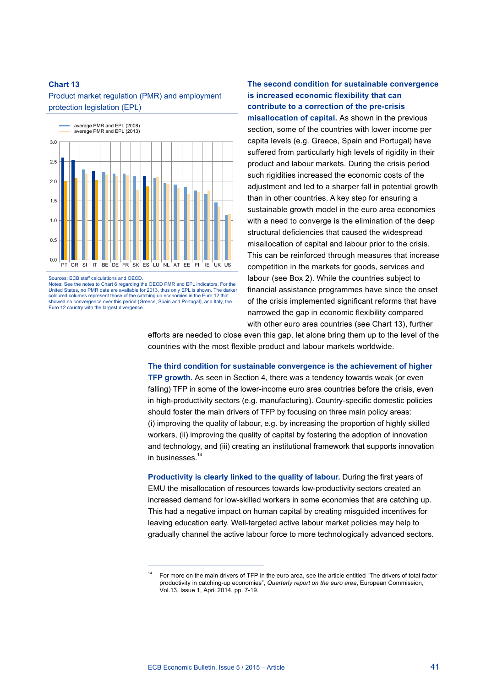Product market regulation (PMR) and employment protection legislation (EPL)



The notes to Chart 6 regarding the OECD PMR and EPL indicators. For the United States, no PMR data are available for 2013, thus only EPL is shown. The darker coloured columns represent those of the catching up economies in the Euro 12 that showed no convergence over this period (Greece, Spain and Portugal), and Italy, the Euro 12 country with the largest divergence.

**The second condition for sustainable convergence is increased economic flexibility that can contribute to a correction of the pre-crisis misallocation of capital.** As shown in the previous section, some of the countries with lower income per capita levels (e.g. Greece, Spain and Portugal) have suffered from particularly high levels of rigidity in their product and labour markets. During the crisis period such rigidities increased the economic costs of the adjustment and led to a sharper fall in potential growth than in other countries. A key step for ensuring a sustainable growth model in the euro area economies with a need to converge is the elimination of the deep structural deficiencies that caused the widespread misallocation of capital and labour prior to the crisis. This can be reinforced through measures that increase competition in the markets for goods, services and labour (see Box 2). While the countries subject to financial assistance programmes have since the onset of the crisis implemented significant reforms that have narrowed the gap in economic flexibility compared with other euro area countries (see Chart 13), further

efforts are needed to close even this gap, let alone bring them up to the level of the countries with the most flexible product and labour markets worldwide.

**The third condition for sustainable convergence is the achievement of higher TFP growth.** As seen in Section 4, there was a tendency towards weak (or even falling) TFP in some of the lower-income euro area countries before the crisis, even in high-productivity sectors (e.g. manufacturing). Country-specific domestic policies should foster the main drivers of TFP by focusing on three main policy areas: (i) improving the quality of labour, e.g. by increasing the proportion of highly skilled workers, (ii) improving the quality of capital by fostering the adoption of innovation and technology, and (iii) creating an institutional framework that supports innovation in businesses.<sup>14</sup>

**Productivity is clearly linked to the quality of labour.** During the first years of EMU the misallocation of resources towards low-productivity sectors created an increased demand for low-skilled workers in some economies that are catching up. This had a negative impact on human capital by creating misguided incentives for leaving education early. Well-targeted active labour market policies may help to gradually channel the active labour force to more technologically advanced sectors.

<sup>14</sup> For more on the main drivers of TFP in the euro area, see the article entitled "The drivers of total factor productivity in catching-up economies", *Quarterly report on the euro area*, European Commission, Vol.13, Issue 1, April 2014, pp. 7-19.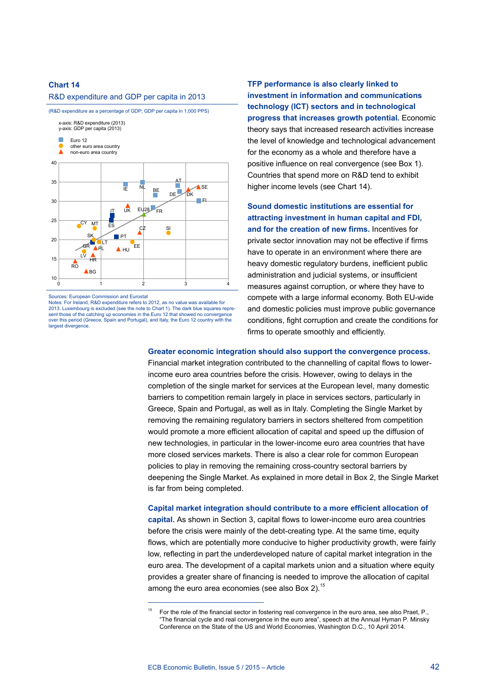#### R&D expenditure and GDP per capita in 2013



Sources: European Commission and Eurostat Notes: For Ireland, R&D expenditure refers to 2012, as no value was available for 2013. Luxembourg is excluded (see the note to Chart 1). The dark blue squares represent those of the catching up economies in the Euro 12 that showed no convergence over this period (Greece, Spain and Portugal), and Italy, the Euro 12 country with the largest divergence.

**TFP performance is also clearly linked to investment in information and communications technology (ICT) sectors and in technological progress that increases growth potential.** Economic theory says that increased research activities increase the level of knowledge and technological advancement for the economy as a whole and therefore have a positive influence on real convergence (see Box 1). Countries that spend more on R&D tend to exhibit higher income levels (see Chart 14).

**Sound domestic institutions are essential for attracting investment in human capital and FDI, and for the creation of new firms.** Incentives for private sector innovation may not be effective if firms have to operate in an environment where there are heavy domestic regulatory burdens, inefficient public administration and judicial systems, or insufficient measures against corruption, or where they have to compete with a large informal economy. Both EU-wide and domestic policies must improve public governance conditions, fight corruption and create the conditions for firms to operate smoothly and efficiently.

#### **Greater economic integration should also support the convergence process.**

Financial market integration contributed to the channelling of capital flows to lowerincome euro area countries before the crisis. However, owing to delays in the completion of the single market for services at the European level, many domestic barriers to competition remain largely in place in services sectors, particularly in Greece, Spain and Portugal, as well as in Italy. Completing the Single Market by removing the remaining regulatory barriers in sectors sheltered from competition would promote a more efficient allocation of capital and speed up the diffusion of new technologies, in particular in the lower-income euro area countries that have more closed services markets. There is also a clear role for common European policies to play in removing the remaining cross-country sectoral barriers by deepening the Single Market. As explained in more detail in Box 2, the Single Market is far from being completed.

# **Capital market integration should contribute to a more efficient allocation of capital.** As shown in Section 3, capital flows to lower-income euro area countries before the crisis were mainly of the debt-creating type. At the same time, equity flows, which are potentially more conducive to higher productivity growth, were fairly

low, reflecting in part the underdeveloped nature of capital market integration in the euro area. The development of a capital markets union and a situation where equity provides a greater share of financing is needed to improve the allocation of capital among the euro area economies (see also Box 2). $15$ 

<sup>15</sup> For the role of the financial sector in fostering real convergence in the euro area, see also Praet, P., "The financial cycle and real convergence in the euro area", speech at the Annual Hyman P. Minsky Conference on the State of the US and World Economies, Washington D.C., 10 April 2014.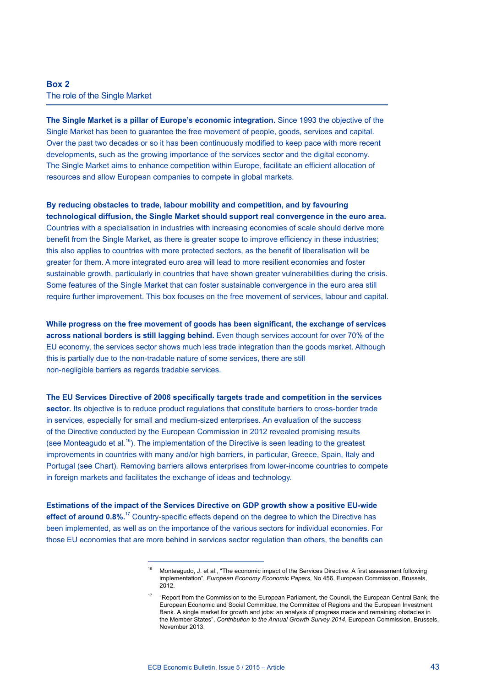### **Box 2** The role of the Single Market

**The Single Market is a pillar of Europe's economic integration.** Since 1993 the objective of the Single Market has been to guarantee the free movement of people, goods, services and capital. Over the past two decades or so it has been continuously modified to keep pace with more recent developments, such as the growing importance of the services sector and the digital economy. The Single Market aims to enhance competition within Europe, facilitate an efficient allocation of resources and allow European companies to compete in global markets.

**By reducing obstacles to trade, labour mobility and competition, and by favouring technological diffusion, the Single Market should support real convergence in the euro area.**  Countries with a specialisation in industries with increasing economies of scale should derive more benefit from the Single Market, as there is greater scope to improve efficiency in these industries; this also applies to countries with more protected sectors, as the benefit of liberalisation will be greater for them. A more integrated euro area will lead to more resilient economies and foster sustainable growth, particularly in countries that have shown greater vulnerabilities during the crisis. Some features of the Single Market that can foster sustainable convergence in the euro area still require further improvement. This box focuses on the free movement of services, labour and capital.

**While progress on the free movement of goods has been significant, the exchange of services across national borders is still lagging behind.** Even though services account for over 70% of the EU economy, the services sector shows much less trade integration than the goods market. Although this is partially due to the non-tradable nature of some services, there are still non-negligible barriers as regards tradable services.

#### **The EU Services Directive of 2006 specifically targets trade and competition in the services**

sector. Its objective is to reduce product regulations that constitute barriers to cross-border trade in services, especially for small and medium-sized enterprises. An evaluation of the success of the Directive conducted by the European Commission in 2012 revealed promising results (see Monteagudo et al.<sup>16</sup>). The implementation of the Directive is seen leading to the greatest improvements in countries with many and/or high barriers, in particular, Greece, Spain, Italy and Portugal (see Chart). Removing barriers allows enterprises from lower-income countries to compete in foreign markets and facilitates the exchange of ideas and technology.

**Estimations of the impact of the Services Directive on GDP growth show a positive EU-wide effect of around 0.8%.**17 Country-specific effects depend on the degree to which the Directive has been implemented, as well as on the importance of the various sectors for individual economies. For those EU economies that are more behind in services sector regulation than others, the benefits can

<sup>16</sup> Monteagudo, J. et al., "The economic impact of the Services Directive: A first assessment following implementation", *European Economy Economic Papers*, No 456, European Commission, Brussels, 2012.

<sup>17</sup> "Report from the Commission to the European Parliament, the Council, the European Central Bank, the European Economic and Social Committee, the Committee of Regions and the European Investment Bank. A single market for growth and jobs: an analysis of progress made and remaining obstacles in the Member States", *Contribution to the Annual Growth Survey 2014*, European Commission, Brussels, November 2013.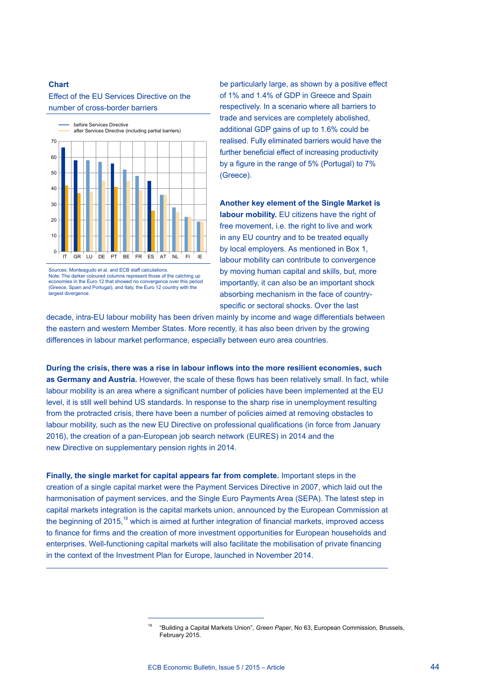Effect of the EU Services Directive on the number of cross-border barriers



Sources: Monteagudo et al. and ECB staff calculations. Note: The darker coloured columns represent those of the catching up economies in the Euro 12 that showed no convergence over this period (Greece, Spain and Portugal), and Italy, the Euro 12 country with the largest divergence.

be particularly large, as shown by a positive effect of 1% and 1.4% of GDP in Greece and Spain respectively. In a scenario where all barriers to trade and services are completely abolished, additional GDP gains of up to 1.6% could be realised. Fully eliminated barriers would have the further beneficial effect of increasing productivity by a figure in the range of 5% (Portugal) to 7% (Greece).

**Another key element of the Single Market is labour mobility.** EU citizens have the right of free movement, i.e. the right to live and work in any EU country and to be treated equally by local employers. As mentioned in Box 1, labour mobility can contribute to convergence by moving human capital and skills, but, more importantly, it can also be an important shock absorbing mechanism in the face of countryspecific or sectoral shocks. Over the last

decade, intra-EU labour mobility has been driven mainly by income and wage differentials between the eastern and western Member States. More recently, it has also been driven by the growing differences in labour market performance, especially between euro area countries.

**During the crisis, there was a rise in labour inflows into the more resilient economies, such as Germany and Austria.** However, the scale of these flows has been relatively small. In fact, while labour mobility is an area where a significant number of policies have been implemented at the EU level, it is still well behind US standards. In response to the sharp rise in unemployment resulting from the protracted crisis, there have been a number of policies aimed at removing obstacles to labour mobility, such as the new EU Directive on professional qualifications (in force from January 2016), the creation of a pan-European job search network (EURES) in 2014 and the new Directive on supplementary pension rights in 2014.

**Finally, the single market for capital appears far from complete.** Important steps in the creation of a single capital market were the Payment Services Directive in 2007, which laid out the harmonisation of payment services, and the Single Euro Payments Area (SEPA). The latest step in capital markets integration is the capital markets union, announced by the European Commission at the beginning of  $2015$ ,<sup>18</sup> which is aimed at further integration of financial markets, improved access to finance for firms and the creation of more investment opportunities for European households and enterprises. Well-functioning capital markets will also facilitate the mobilisation of private financing in the context of the Investment Plan for Europe, launched in November 2014.

<sup>18</sup> "Building a Capital Markets Union", *Green Paper*, No 63, European Commission, Brussels, February 2015.